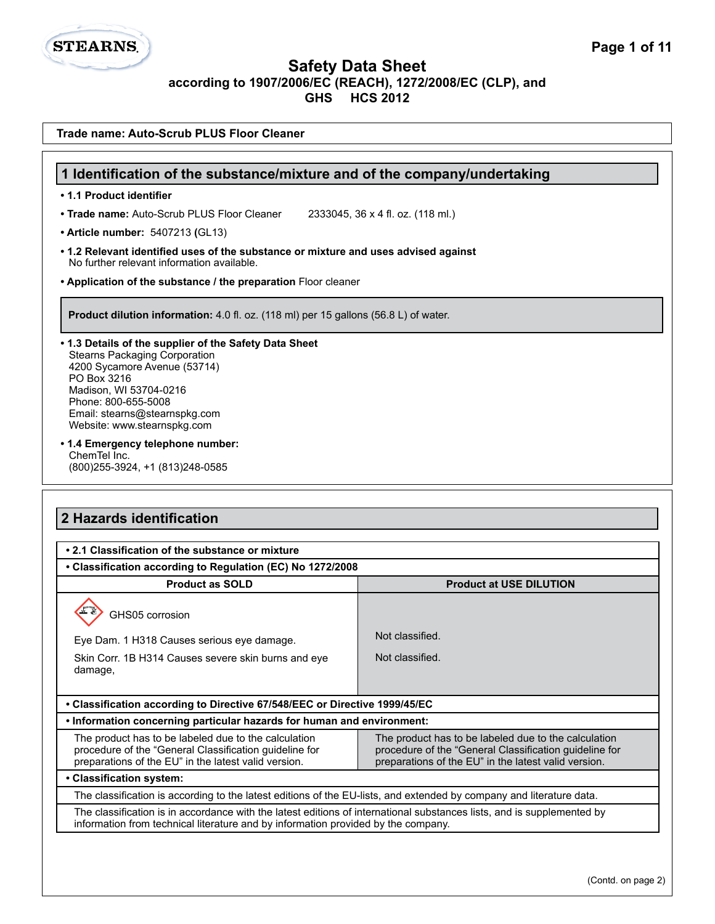# **2 Hazards identification • 2.1 Classification of the substance or mixture • Classification according to Regulation (EC) No 1272/2008 Product as SOLD Product at USE DILUTION** GHS05 corrosion **Trade name: Auto-Scrub PLUS Floor Cleaner 1 Identification of the substance/mixture and of the company/undertaking • 1.1 Product identifier • Trade name:** Auto-Scrub PLUS Floor Cleaner 2333045, 36 x 4 fl. oz. (118 ml.) **• Article number:** 5407213 **(**GL13) **• 1.2 Relevant identified uses of the substance or mixture and uses advised against** No further relevant information available. **• Application of the substance / the preparation** Floor cleaner **Product dilution information:** 4.0 fl. oz. (118 ml) per 15 gallons (56.8 L) of water. **• 1.3 Details of the supplier of the Safety Data Sheet** Stearns Packaging Corporation 4200 Sycamore Avenue (53714) PO Box 3216 Madison, WI 53704-0216 Phone: 800-655-5008 Email: stearns@stearnspkg.com Website: www.stearnspkg.com **• 1.4 Emergency telephone number:** ChemTel Inc. (800)255-3924, +1 (813)248-0585

Eye Dam. 1 H318 Causes serious eye damage. Skin Corr. 1B H314 Causes severe skin burns and eye Not classified. Not classified.

**• Classification according to Directive 67/548/EEC or Directive 1999/45/EC** 

|                                                                                                                                                                                                                                                                                                                                                  | . Information concerning particular hazards for human and environment: |  |  |
|--------------------------------------------------------------------------------------------------------------------------------------------------------------------------------------------------------------------------------------------------------------------------------------------------------------------------------------------------|------------------------------------------------------------------------|--|--|
| The product has to be labeled due to the calculation<br>The product has to be labeled due to the calculation<br>procedure of the "General Classification guideline for<br>procedure of the "General Classification guideline for<br>preparations of the EU" in the latest valid version.<br>preparations of the EU" in the latest valid version. |                                                                        |  |  |

#### **• Classification system:**

damage,

**STEARNS** 

The classification is according to the latest editions of the EU-lists, and extended by company and literature data.

The classification is in accordance with the latest editions of international substances lists, and is supplemented by information from technical literature and by information provided by the company.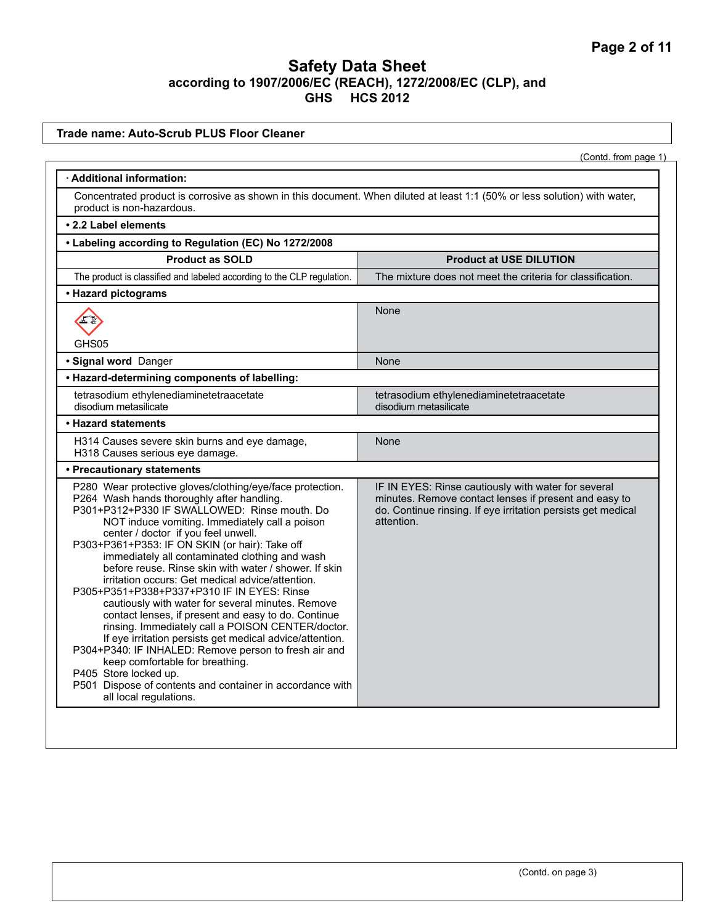#### **Trade name: Auto-Scrub PLUS Floor Cleaner**

(Contd. from page 1)

| · Additional information:                                                                                                                                                                                                                                                                                                                                                                                                                                                                                                                                                                                                                                                                                                                                                                                                                                                                                                                                |                                                                                                                                                                                            |  |
|----------------------------------------------------------------------------------------------------------------------------------------------------------------------------------------------------------------------------------------------------------------------------------------------------------------------------------------------------------------------------------------------------------------------------------------------------------------------------------------------------------------------------------------------------------------------------------------------------------------------------------------------------------------------------------------------------------------------------------------------------------------------------------------------------------------------------------------------------------------------------------------------------------------------------------------------------------|--------------------------------------------------------------------------------------------------------------------------------------------------------------------------------------------|--|
| Concentrated product is corrosive as shown in this document. When diluted at least 1:1 (50% or less solution) with water,<br>product is non-hazardous.                                                                                                                                                                                                                                                                                                                                                                                                                                                                                                                                                                                                                                                                                                                                                                                                   |                                                                                                                                                                                            |  |
| • 2.2 Label elements                                                                                                                                                                                                                                                                                                                                                                                                                                                                                                                                                                                                                                                                                                                                                                                                                                                                                                                                     |                                                                                                                                                                                            |  |
| • Labeling according to Regulation (EC) No 1272/2008                                                                                                                                                                                                                                                                                                                                                                                                                                                                                                                                                                                                                                                                                                                                                                                                                                                                                                     |                                                                                                                                                                                            |  |
| <b>Product as SOLD</b>                                                                                                                                                                                                                                                                                                                                                                                                                                                                                                                                                                                                                                                                                                                                                                                                                                                                                                                                   | <b>Product at USE DILUTION</b>                                                                                                                                                             |  |
| The product is classified and labeled according to the CLP regulation.                                                                                                                                                                                                                                                                                                                                                                                                                                                                                                                                                                                                                                                                                                                                                                                                                                                                                   | The mixture does not meet the criteria for classification.                                                                                                                                 |  |
| • Hazard pictograms                                                                                                                                                                                                                                                                                                                                                                                                                                                                                                                                                                                                                                                                                                                                                                                                                                                                                                                                      |                                                                                                                                                                                            |  |
|                                                                                                                                                                                                                                                                                                                                                                                                                                                                                                                                                                                                                                                                                                                                                                                                                                                                                                                                                          | None                                                                                                                                                                                       |  |
| GHS05<br>· Signal word Danger                                                                                                                                                                                                                                                                                                                                                                                                                                                                                                                                                                                                                                                                                                                                                                                                                                                                                                                            | None                                                                                                                                                                                       |  |
| • Hazard-determining components of labelling:                                                                                                                                                                                                                                                                                                                                                                                                                                                                                                                                                                                                                                                                                                                                                                                                                                                                                                            |                                                                                                                                                                                            |  |
| tetrasodium ethylenediaminetetraacetate<br>disodium metasilicate                                                                                                                                                                                                                                                                                                                                                                                                                                                                                                                                                                                                                                                                                                                                                                                                                                                                                         | tetrasodium ethylenediaminetetraacetate<br>disodium metasilicate                                                                                                                           |  |
| • Hazard statements                                                                                                                                                                                                                                                                                                                                                                                                                                                                                                                                                                                                                                                                                                                                                                                                                                                                                                                                      |                                                                                                                                                                                            |  |
| H314 Causes severe skin burns and eye damage,<br>H318 Causes serious eye damage.                                                                                                                                                                                                                                                                                                                                                                                                                                                                                                                                                                                                                                                                                                                                                                                                                                                                         | None                                                                                                                                                                                       |  |
| • Precautionary statements                                                                                                                                                                                                                                                                                                                                                                                                                                                                                                                                                                                                                                                                                                                                                                                                                                                                                                                               |                                                                                                                                                                                            |  |
| P280 Wear protective gloves/clothing/eye/face protection.<br>P264 Wash hands thoroughly after handling.<br>P301+P312+P330 IF SWALLOWED: Rinse mouth. Do<br>NOT induce vomiting. Immediately call a poison<br>center / doctor if you feel unwell.<br>P303+P361+P353: IF ON SKIN (or hair): Take off<br>immediately all contaminated clothing and wash<br>before reuse. Rinse skin with water / shower. If skin<br>irritation occurs: Get medical advice/attention.<br>P305+P351+P338+P337+P310 IF IN EYES: Rinse<br>cautiously with water for several minutes. Remove<br>contact lenses, if present and easy to do. Continue<br>rinsing. Immediately call a POISON CENTER/doctor.<br>If eye irritation persists get medical advice/attention.<br>P304+P340: IF INHALED: Remove person to fresh air and<br>keep comfortable for breathing.<br>P405 Store locked up.<br>P501 Dispose of contents and container in accordance with<br>all local regulations. | IF IN EYES: Rinse cautiously with water for several<br>minutes. Remove contact lenses if present and easy to<br>do. Continue rinsing. If eye irritation persists get medical<br>attention. |  |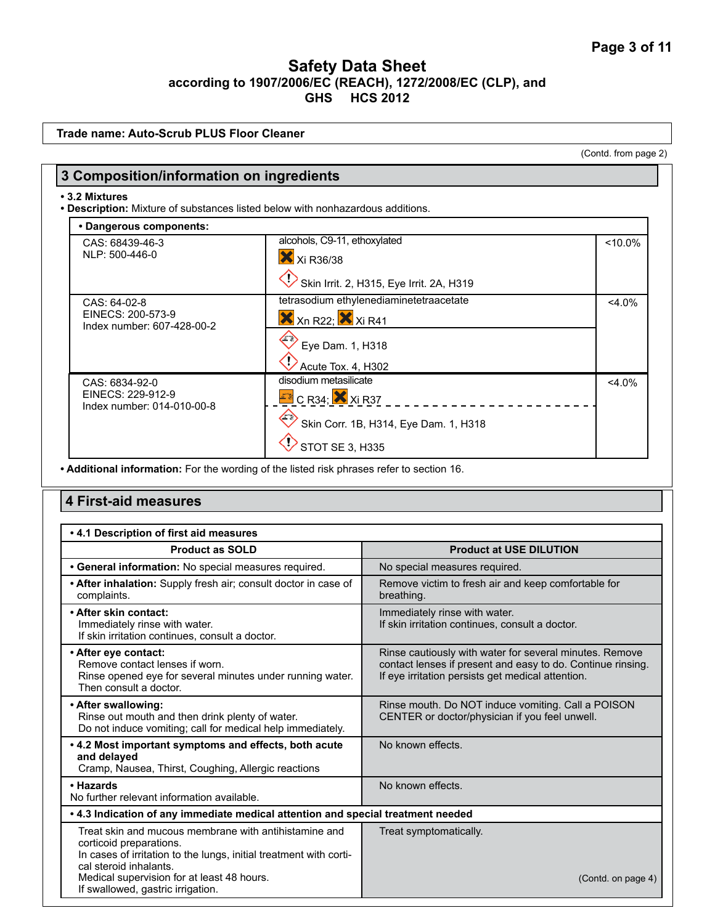| <b>Trade name: Auto-Scrub PLUS Floor Cleaner</b>                                                                      |                                    |                                                                                                                  |                    |
|-----------------------------------------------------------------------------------------------------------------------|------------------------------------|------------------------------------------------------------------------------------------------------------------|--------------------|
|                                                                                                                       |                                    | (Contd. from page 2)                                                                                             |                    |
| 3 Composition/information on ingredients                                                                              |                                    |                                                                                                                  |                    |
| • 3.2 Mixtures<br>. Description: Mixture of substances listed below with nonhazardous additions.                      |                                    |                                                                                                                  |                    |
| • Dangerous components:                                                                                               |                                    |                                                                                                                  |                    |
| CAS: 68439-46-3                                                                                                       | alcohols, C9-11, ethoxylated       |                                                                                                                  | $< 10.0\%$         |
| NLP: 500-446-0                                                                                                        | X Xi R36/38                        |                                                                                                                  |                    |
|                                                                                                                       |                                    | Skin Irrit. 2, H315, Eye Irrit. 2A, H319                                                                         |                    |
| CAS: 64-02-8                                                                                                          |                                    | tetrasodium ethylenediaminetetraacetate                                                                          | $<$ 4.0%           |
| EINECS: 200-573-9<br>Index number: 607-428-00-2                                                                       | $X$ Xn R22; $X$ Xi R41             |                                                                                                                  |                    |
|                                                                                                                       | Eye Dam. 1, H318                   |                                                                                                                  |                    |
|                                                                                                                       | Acute Tox. 4, H302                 |                                                                                                                  |                    |
| CAS: 6834-92-0                                                                                                        | disodium metasilicate              |                                                                                                                  | $<$ 4.0%           |
| EINECS: 229-912-9<br>Index number: 014-010-00-8                                                                       | $E$ <sup>2</sup> C R34; $X$ Xi R37 |                                                                                                                  |                    |
|                                                                                                                       |                                    | Skin Corr. 1B, H314, Eye Dam. 1, H318                                                                            |                    |
|                                                                                                                       |                                    |                                                                                                                  |                    |
|                                                                                                                       | STOT SE 3, H335                    |                                                                                                                  |                    |
| • Additional information: For the wording of the listed risk phrases refer to section 16.                             |                                    |                                                                                                                  |                    |
| . 4.1 Description of first aid measures                                                                               |                                    |                                                                                                                  |                    |
| <b>Product as SOLD</b><br>· General information: No special measures required.                                        |                                    | <b>Product at USE DILUTION</b><br>No special measures required.                                                  |                    |
| • After inhalation: Supply fresh air; consult doctor in case of                                                       |                                    | Remove victim to fresh air and keep comfortable for                                                              |                    |
| complaints.<br>• After skin contact:                                                                                  |                                    | breathing.<br>Immediately rinse with water.                                                                      |                    |
| Immediately rinse with water.<br>If skin irritation continues, consult a doctor.                                      |                                    | If skin irritation continues, consult a doctor.                                                                  |                    |
| · After eye contact:                                                                                                  |                                    | Rinse cautiously with water for several minutes. Remove                                                          |                    |
| Remove contact lenses if worn.<br>Rinse opened eye for several minutes under running water.<br>Then consult a doctor. |                                    | contact lenses if present and easy to do. Continue rinsing.<br>If eye irritation persists get medical attention. |                    |
| • After swallowing:                                                                                                   |                                    | Rinse mouth. Do NOT induce vomiting. Call a POISON                                                               |                    |
| Rinse out mouth and then drink plenty of water.<br>Do not induce vomiting; call for medical help immediately.         |                                    | CENTER or doctor/physician if you feel unwell.                                                                   |                    |
| . 4.2 Most important symptoms and effects, both acute                                                                 |                                    | No known effects.                                                                                                |                    |
| and delayed<br>Cramp, Nausea, Thirst, Coughing, Allergic reactions                                                    |                                    |                                                                                                                  |                    |
| • Hazards<br>No further relevant information available.                                                               |                                    | No known effects.                                                                                                |                    |
| . 4.3 Indication of any immediate medical attention and special treatment needed                                      |                                    |                                                                                                                  |                    |
| Treat skin and mucous membrane with antihistamine and                                                                 |                                    | Treat symptomatically.                                                                                           |                    |
| corticoid preparations.                                                                                               |                                    |                                                                                                                  |                    |
| In cases of irritation to the lungs, initial treatment with corti-<br>cal steroid inhalants.                          |                                    |                                                                                                                  |                    |
| Medical supervision for at least 48 hours.                                                                            |                                    |                                                                                                                  | (Contd. on page 4) |

If swallowed, gastric irrigation.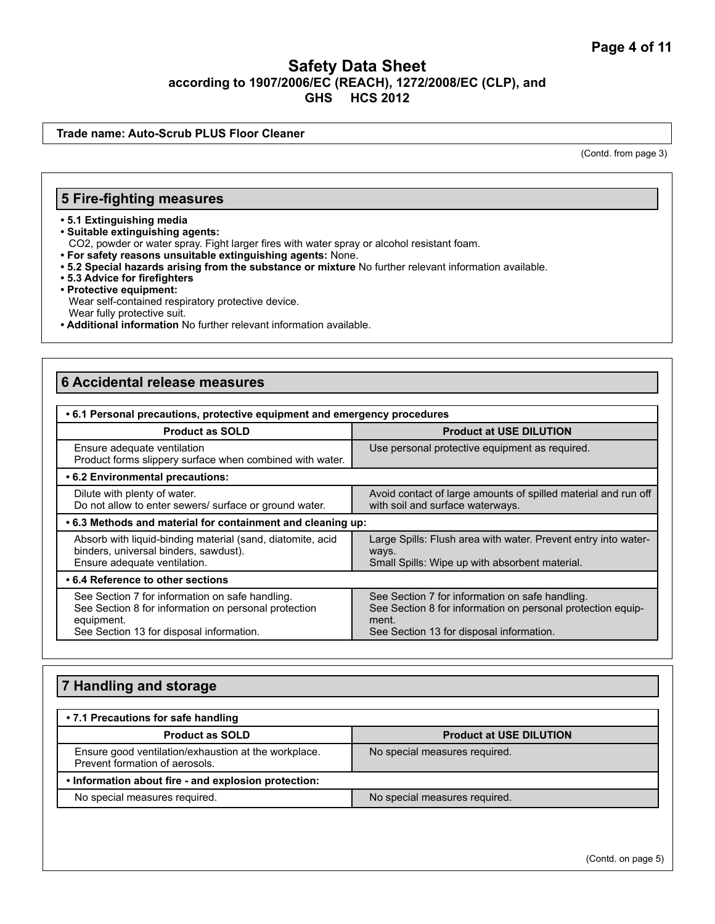#### **Trade name: Auto-Scrub PLUS Floor Cleaner**

(Contd. from page 3)

#### **5 Fire-fighting measures**

#### **• 5.1 Extinguishing media**

**• Suitable extinguishing agents:** 

CO2, powder or water spray. Fight larger fires with water spray or alcohol resistant foam.

- **For safety reasons unsuitable extinguishing agents:** None.
- **5.2 Special hazards arising from the substance or mixture** No further relevant information available.
- **5.3 Advice for firefighters**
- **Protective equipment:** Wear self-contained respiratory protective device. Wear fully protective suit.
- **Additional information** No further relevant information available.

### **6 Accidental release measures**

| • 6.1 Personal precautions, protective equipment and emergency procedures                                                                                         |                                                                                                                                                                     |  |
|-------------------------------------------------------------------------------------------------------------------------------------------------------------------|---------------------------------------------------------------------------------------------------------------------------------------------------------------------|--|
| <b>Product as SOLD</b>                                                                                                                                            | <b>Product at USE DILUTION</b>                                                                                                                                      |  |
| Ensure adequate ventilation<br>Product forms slippery surface when combined with water.                                                                           | Use personal protective equipment as required.                                                                                                                      |  |
| • 6.2 Environmental precautions:                                                                                                                                  |                                                                                                                                                                     |  |
| Dilute with plenty of water.<br>Do not allow to enter sewers/ surface or ground water.                                                                            | Avoid contact of large amounts of spilled material and run off<br>with soil and surface waterways.                                                                  |  |
| .6.3 Methods and material for containment and cleaning up:                                                                                                        |                                                                                                                                                                     |  |
| Absorb with liquid-binding material (sand, diatomite, acid<br>binders, universal binders, sawdust).<br>Ensure adequate ventilation.                               | Large Spills: Flush area with water. Prevent entry into water-<br>ways.<br>Small Spills: Wipe up with absorbent material.                                           |  |
| • 6.4 Reference to other sections                                                                                                                                 |                                                                                                                                                                     |  |
| See Section 7 for information on safe handling.<br>See Section 8 for information on personal protection<br>equipment.<br>See Section 13 for disposal information. | See Section 7 for information on safe handling.<br>See Section 8 for information on personal protection equip-<br>ment.<br>See Section 13 for disposal information. |  |

# **7 Handling and storage • 7.1 Precautions for safe handling Product as SOLD Product at USE DILUTION** Ensure good ventilation/exhaustion at the workplace. Prevent formation of aerosols. No special measures required. **• Information about fire - and explosion protection:**  No special measures required. No special measures required.

(Contd. on page 5)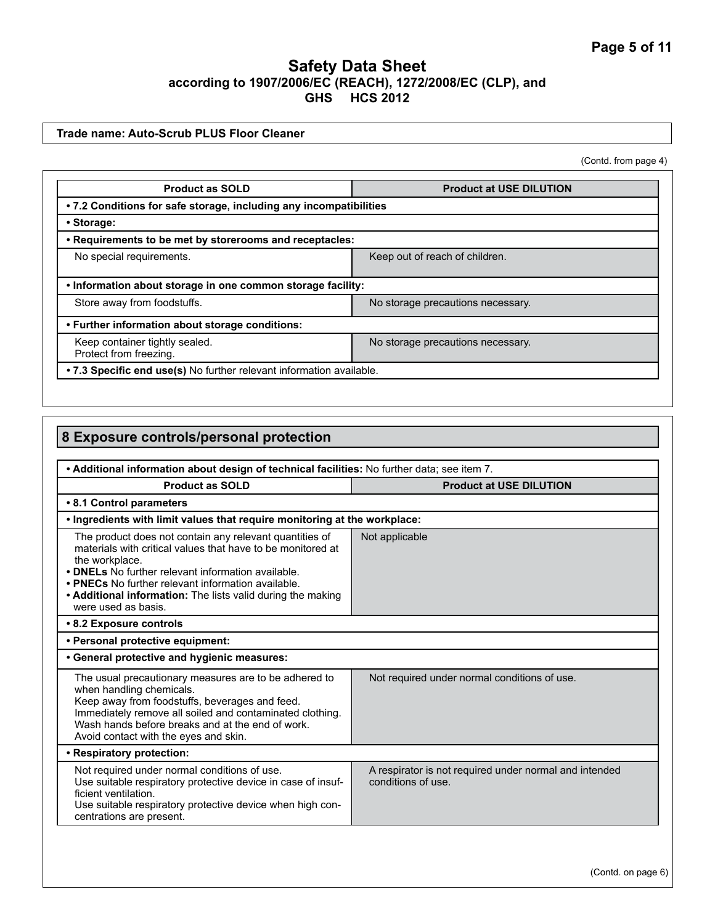#### **Trade name: Auto-Scrub PLUS Floor Cleaner**

(Contd. from page 4)

| <b>Product as SOLD</b>                                                                        | <b>Product at USE DILUTION</b>    |  |
|-----------------------------------------------------------------------------------------------|-----------------------------------|--|
| • 7.2 Conditions for safe storage, including any incompatibilities                            |                                   |  |
| • Storage:                                                                                    |                                   |  |
| . Requirements to be met by storerooms and receptacles:                                       |                                   |  |
| No special requirements.                                                                      | Keep out of reach of children.    |  |
| . Information about storage in one common storage facility:                                   |                                   |  |
| Store away from foodstuffs.                                                                   | No storage precautions necessary. |  |
| • Further information about storage conditions:                                               |                                   |  |
| Keep container tightly sealed.<br>No storage precautions necessary.<br>Protect from freezing. |                                   |  |
| .7.3 Specific end use(s) No further relevant information available.                           |                                   |  |

| 8 Exposure controls/personal protection                                                                                                                                                                                                                                                                                                    |                                                                              |  |
|--------------------------------------------------------------------------------------------------------------------------------------------------------------------------------------------------------------------------------------------------------------------------------------------------------------------------------------------|------------------------------------------------------------------------------|--|
|                                                                                                                                                                                                                                                                                                                                            |                                                                              |  |
| . Additional information about design of technical facilities: No further data; see item 7.<br><b>Product as SOLD</b><br><b>Product at USE DILUTION</b>                                                                                                                                                                                    |                                                                              |  |
| • 8.1 Control parameters                                                                                                                                                                                                                                                                                                                   |                                                                              |  |
| . Ingredients with limit values that require monitoring at the workplace:                                                                                                                                                                                                                                                                  |                                                                              |  |
| The product does not contain any relevant quantities of<br>materials with critical values that have to be monitored at<br>the workplace.<br>• DNELs No further relevant information available.<br>• PNECs No further relevant information available.<br>• Additional information: The lists valid during the making<br>were used as basis. | Not applicable                                                               |  |
| • 8.2 Exposure controls                                                                                                                                                                                                                                                                                                                    |                                                                              |  |
| • Personal protective equipment:                                                                                                                                                                                                                                                                                                           |                                                                              |  |
| • General protective and hygienic measures:                                                                                                                                                                                                                                                                                                |                                                                              |  |
| The usual precautionary measures are to be adhered to<br>when handling chemicals.<br>Keep away from foodstuffs, beverages and feed.<br>Immediately remove all soiled and contaminated clothing.<br>Wash hands before breaks and at the end of work.<br>Avoid contact with the eyes and skin.                                               | Not required under normal conditions of use.                                 |  |
| • Respiratory protection:                                                                                                                                                                                                                                                                                                                  |                                                                              |  |
| Not required under normal conditions of use.<br>Use suitable respiratory protective device in case of insuf-<br>ficient ventilation.<br>Use suitable respiratory protective device when high con-<br>centrations are present.                                                                                                              | A respirator is not required under normal and intended<br>conditions of use. |  |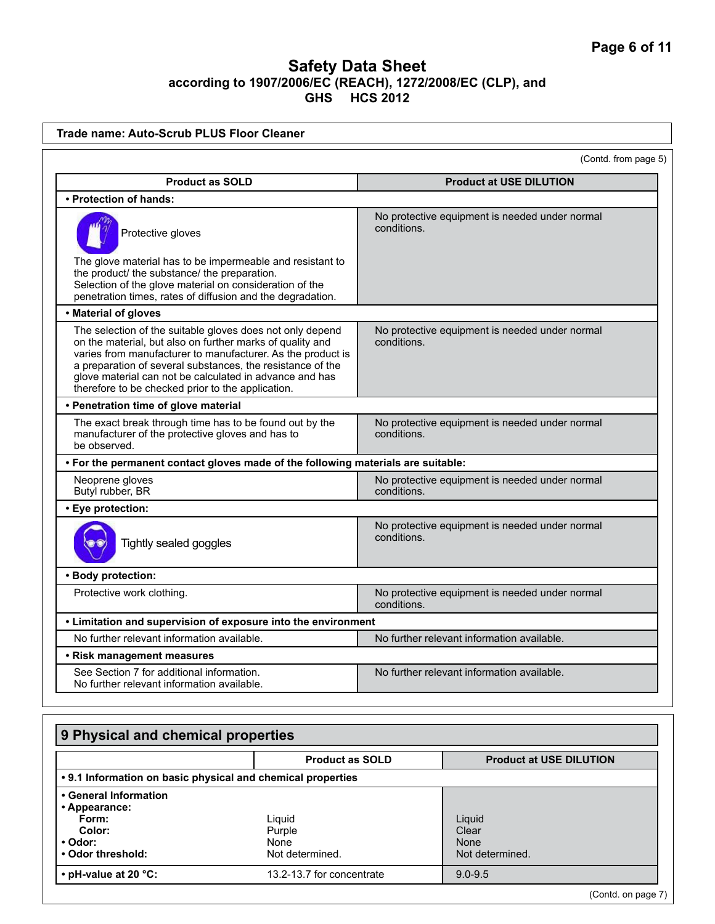| <b>Trade name: Auto-Scrub PLUS Floor Cleaner</b>                                                                                                                                                                                                                                                                                                                    |             |                                                |
|---------------------------------------------------------------------------------------------------------------------------------------------------------------------------------------------------------------------------------------------------------------------------------------------------------------------------------------------------------------------|-------------|------------------------------------------------|
| (Contd. from page 5)                                                                                                                                                                                                                                                                                                                                                |             |                                                |
| <b>Product as SOLD</b>                                                                                                                                                                                                                                                                                                                                              |             | <b>Product at USE DILUTION</b>                 |
| • Protection of hands:                                                                                                                                                                                                                                                                                                                                              |             |                                                |
| Protective gloves<br>The glove material has to be impermeable and resistant to<br>the product/ the substance/ the preparation.<br>Selection of the glove material on consideration of the<br>penetration times, rates of diffusion and the degradation.                                                                                                             | conditions. | No protective equipment is needed under normal |
| • Material of gloves                                                                                                                                                                                                                                                                                                                                                |             |                                                |
| The selection of the suitable gloves does not only depend<br>on the material, but also on further marks of quality and<br>varies from manufacturer to manufacturer. As the product is<br>a preparation of several substances, the resistance of the<br>glove material can not be calculated in advance and has<br>therefore to be checked prior to the application. | conditions. | No protective equipment is needed under normal |
| • Penetration time of glove material                                                                                                                                                                                                                                                                                                                                |             |                                                |
| The exact break through time has to be found out by the<br>manufacturer of the protective gloves and has to<br>be observed.                                                                                                                                                                                                                                         | conditions. | No protective equipment is needed under normal |
| . For the permanent contact gloves made of the following materials are suitable:                                                                                                                                                                                                                                                                                    |             |                                                |
| Neoprene gloves<br>Butyl rubber, BR                                                                                                                                                                                                                                                                                                                                 | conditions. | No protective equipment is needed under normal |
| • Eye protection:                                                                                                                                                                                                                                                                                                                                                   |             |                                                |
| No protective equipment is needed under normal<br>conditions.<br>Tightly sealed goggles                                                                                                                                                                                                                                                                             |             |                                                |
| · Body protection:                                                                                                                                                                                                                                                                                                                                                  |             |                                                |
| Protective work clothing.                                                                                                                                                                                                                                                                                                                                           | conditions. | No protective equipment is needed under normal |
| • Limitation and supervision of exposure into the environment                                                                                                                                                                                                                                                                                                       |             |                                                |
| No further relevant information available.                                                                                                                                                                                                                                                                                                                          |             | No further relevant information available.     |
| • Risk management measures                                                                                                                                                                                                                                                                                                                                          |             |                                                |
| See Section 7 for additional information.<br>No further relevant information available.                                                                                                                                                                                                                                                                             |             | No further relevant information available.     |
| 9 Physical and chemical properties                                                                                                                                                                                                                                                                                                                                  |             |                                                |
| <b>Product as SOLD</b>                                                                                                                                                                                                                                                                                                                                              |             | <b>Product at USE DILUTION</b>                 |
| • 9.1 Information on basic physical and chemical properties                                                                                                                                                                                                                                                                                                         |             |                                                |

| • General Information<br>• Appearance:<br>Form:<br>Color:<br>• Odor:<br>• Odor threshold: | Liguid<br>Purple<br>None<br>Not determined. | Liguid<br>Clear<br>None<br>Not determined. |
|-------------------------------------------------------------------------------------------|---------------------------------------------|--------------------------------------------|
| $\cdot$ pH-value at 20 $\degree$ C:                                                       | 13.2-13.7 for concentrate                   | $9.0 - 9.5$                                |
|                                                                                           |                                             |                                            |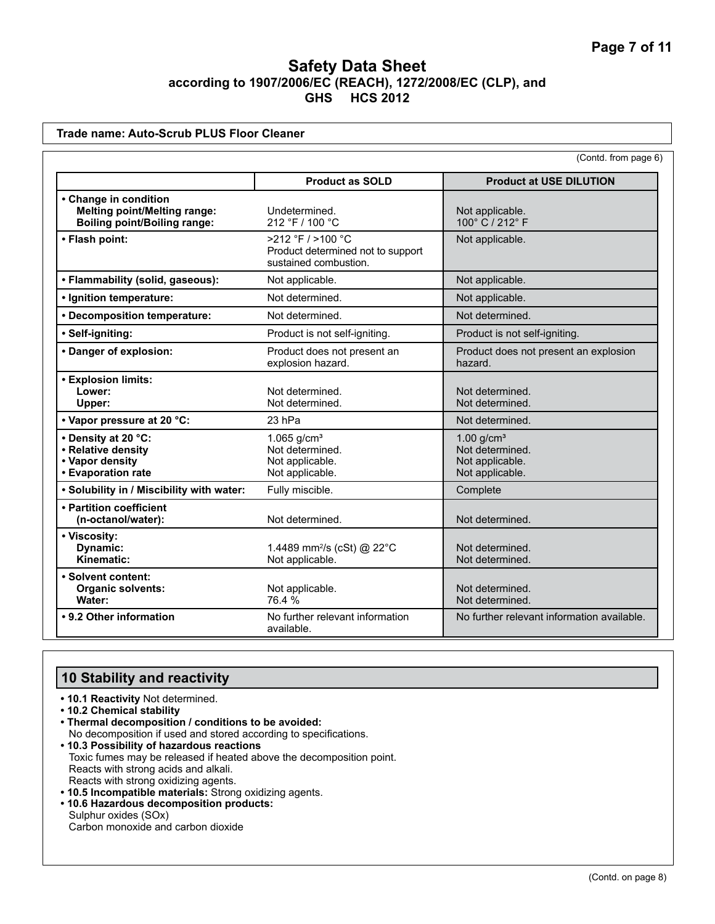|                                                                                                     |                                                                                 | (Contd. from page 6)                                                              |
|-----------------------------------------------------------------------------------------------------|---------------------------------------------------------------------------------|-----------------------------------------------------------------------------------|
|                                                                                                     | <b>Product as SOLD</b>                                                          | <b>Product at USE DILUTION</b>                                                    |
| • Change in condition<br><b>Melting point/Melting range:</b><br><b>Boiling point/Boiling range:</b> | Undetermined.<br>212 °F / 100 °C                                                | Not applicable.<br>100° C / 212° F                                                |
| • Flash point:                                                                                      | >212 °F / >100 °C<br>Product determined not to support<br>sustained combustion. | Not applicable.                                                                   |
| • Flammability (solid, gaseous):                                                                    | Not applicable.                                                                 | Not applicable.                                                                   |
| · Ignition temperature:                                                                             | Not determined.                                                                 | Not applicable.                                                                   |
| • Decomposition temperature:                                                                        | Not determined.                                                                 | Not determined.                                                                   |
| · Self-igniting:                                                                                    | Product is not self-igniting.                                                   | Product is not self-igniting.                                                     |
| • Danger of explosion:                                                                              | Product does not present an<br>explosion hazard.                                | Product does not present an explosion<br>hazard.                                  |
| • Explosion limits:<br>Lower:<br>Upper:                                                             | Not determined.<br>Not determined.                                              | Not determined.<br>Not determined.                                                |
| • Vapor pressure at 20 °C:                                                                          | 23 hPa                                                                          | Not determined.                                                                   |
| • Density at 20 °C:<br>• Relative density<br>• Vapor density<br>• Evaporation rate                  | 1.065 $g/cm^{3}$<br>Not determined.<br>Not applicable.<br>Not applicable.       | $1.00$ g/cm <sup>3</sup><br>Not determined.<br>Not applicable.<br>Not applicable. |
| . Solubility in / Miscibility with water:                                                           | Fully miscible.                                                                 | Complete                                                                          |
| • Partition coefficient<br>(n-octanol/water):                                                       | Not determined.                                                                 | Not determined.                                                                   |
| • Viscosity:<br>Dynamic:<br>Kinematic:                                                              | 1.4489 mm <sup>2</sup> /s (cSt) @ 22°C<br>Not applicable.                       | Not determined.<br>Not determined.                                                |
| · Solvent content:<br><b>Organic solvents:</b><br>Water:                                            | Not applicable.<br>76.4 %                                                       | Not determined.<br>Not determined.                                                |
| • 9.2 Other information                                                                             | No further relevant information<br>available.                                   | No further relevant information available.                                        |

# **10 Stability and reactivity**

- **10.1 Reactivity** Not determined.
- **10.2 Chemical stability**
- **Thermal decomposition / conditions to be avoided:** No decomposition if used and stored according to specifications.
- **10.3 Possibility of hazardous reactions** Toxic fumes may be released if heated above the decomposition point. Reacts with strong acids and alkali. Reacts with strong oxidizing agents.
- **10.5 Incompatible materials:** Strong oxidizing agents.
- **10.6 Hazardous decomposition products:**  Sulphur oxides (SOx) Carbon monoxide and carbon dioxide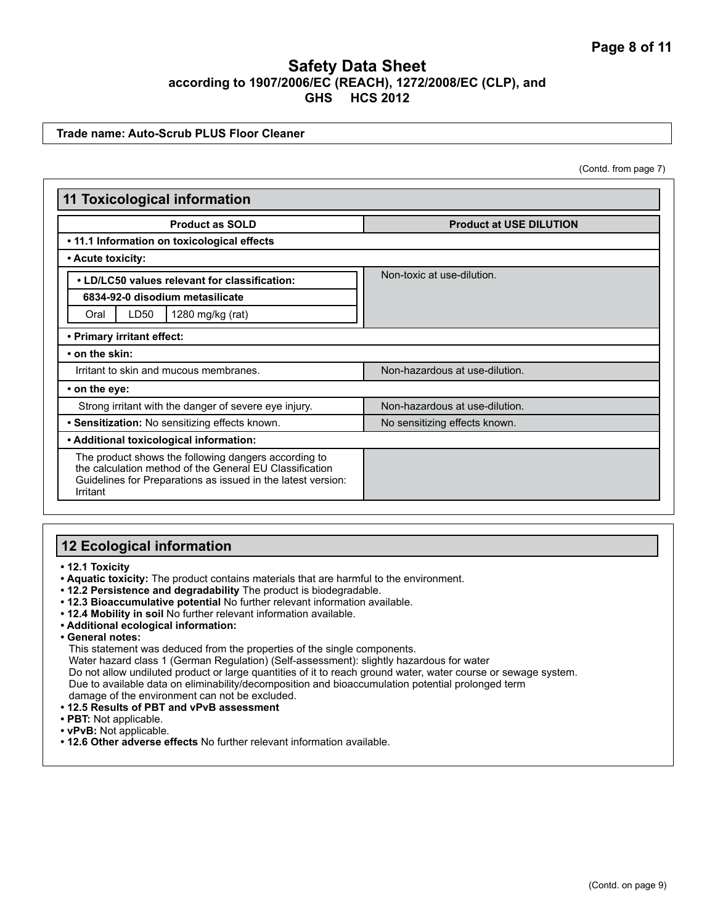#### **Trade name: Auto-Scrub PLUS Floor Cleaner**

(Contd. from page 7)

| <b>11 Toxicological information</b>                                                                                                                                                         |                                |  |
|---------------------------------------------------------------------------------------------------------------------------------------------------------------------------------------------|--------------------------------|--|
| <b>Product as SOLD</b>                                                                                                                                                                      | <b>Product at USE DILUTION</b> |  |
| • 11.1 Information on toxicological effects                                                                                                                                                 |                                |  |
| • Acute toxicity:                                                                                                                                                                           |                                |  |
| . LD/LC50 values relevant for classification:                                                                                                                                               | Non-toxic at use-dilution.     |  |
| 6834-92-0 disodium metasilicate                                                                                                                                                             |                                |  |
| LD50<br>1280 mg/kg (rat)<br>Oral                                                                                                                                                            |                                |  |
| • Primary irritant effect:                                                                                                                                                                  |                                |  |
| $\cdot$ on the skin:                                                                                                                                                                        |                                |  |
| Irritant to skin and mucous membranes.                                                                                                                                                      | Non-hazardous at use-dilution. |  |
| • on the eye:                                                                                                                                                                               |                                |  |
| Strong irritant with the danger of severe eye injury.                                                                                                                                       | Non-hazardous at use-dilution. |  |
| • Sensitization: No sensitizing effects known.                                                                                                                                              | No sensitizing effects known.  |  |
| • Additional toxicological information:                                                                                                                                                     |                                |  |
| The product shows the following dangers according to<br>the calculation method of the General EU Classification<br>Guidelines for Preparations as issued in the latest version:<br>Irritant |                                |  |

### **12 Ecological information**

**• 12.1 Toxicity**

- **Aquatic toxicity:** The product contains materials that are harmful to the environment.
- **12.2 Persistence and degradability** The product is biodegradable.
- **12.3 Bioaccumulative potential** No further relevant information available.
- **12.4 Mobility in soil** No further relevant information available.
- **Additional ecological information:**
- **General notes:**

This statement was deduced from the properties of the single components.

Water hazard class 1 (German Regulation) (Self-assessment): slightly hazardous for water

Do not allow undiluted product or large quantities of it to reach ground water, water course or sewage system. Due to available data on eliminability/decomposition and bioaccumulation potential prolonged term damage of the environment can not be excluded.

- **12.5 Results of PBT and vPvB assessment**
- **PBT:** Not applicable.
- **vPvB:** Not applicable.
- **12.6 Other adverse effects** No further relevant information available.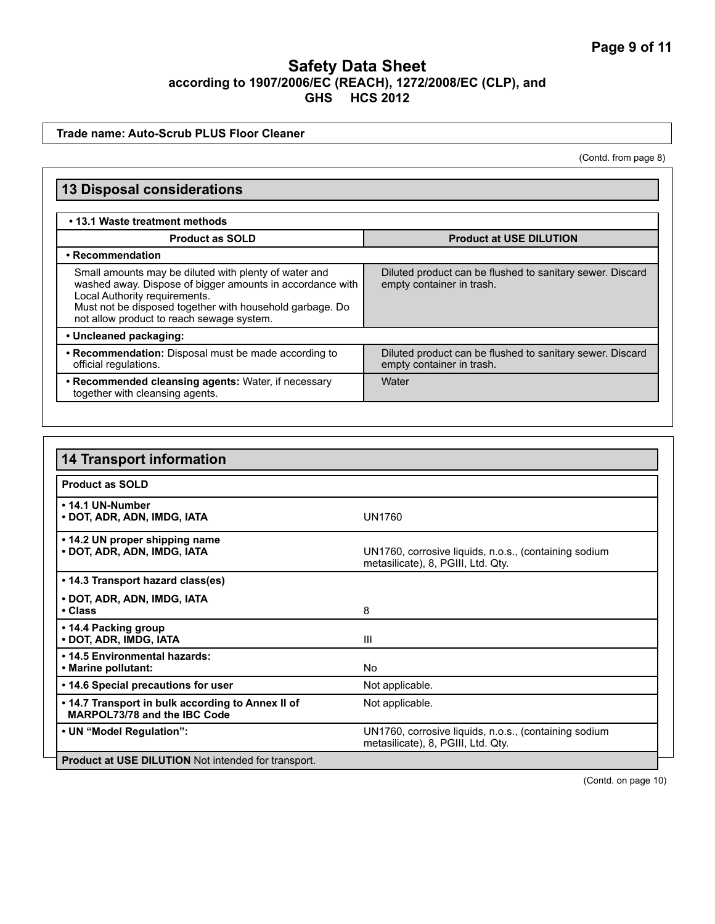#### **Trade name: Auto-Scrub PLUS Floor Cleaner**

(Contd. from page 8)

| <b>13 Disposal considerations</b>                                                                                                                                                                                                                            |                                                                                        |  |
|--------------------------------------------------------------------------------------------------------------------------------------------------------------------------------------------------------------------------------------------------------------|----------------------------------------------------------------------------------------|--|
| • 13.1 Waste treatment methods                                                                                                                                                                                                                               |                                                                                        |  |
| <b>Product as SOLD</b>                                                                                                                                                                                                                                       | <b>Product at USE DILUTION</b>                                                         |  |
| • Recommendation                                                                                                                                                                                                                                             |                                                                                        |  |
| Small amounts may be diluted with plenty of water and<br>washed away. Dispose of bigger amounts in accordance with<br>Local Authority requirements.<br>Must not be disposed together with household garbage. Do<br>not allow product to reach sewage system. | Diluted product can be flushed to sanitary sewer. Discard<br>empty container in trash. |  |
| • Uncleaned packaging:                                                                                                                                                                                                                                       |                                                                                        |  |
| • Recommendation: Disposal must be made according to<br>official regulations.                                                                                                                                                                                | Diluted product can be flushed to sanitary sewer. Discard<br>empty container in trash. |  |
| • Recommended cleansing agents: Water, if necessary<br>together with cleansing agents.                                                                                                                                                                       | Water                                                                                  |  |

| <b>14 Transport information</b>                                                   |                                                                                             |
|-----------------------------------------------------------------------------------|---------------------------------------------------------------------------------------------|
| <b>Product as SOLD</b>                                                            |                                                                                             |
| • 14.1 UN-Number<br>• DOT, ADR, ADN, IMDG, IATA                                   | <b>UN1760</b>                                                                               |
| • 14.2 UN proper shipping name<br>• DOT, ADR, ADN, IMDG, IATA                     | UN1760, corrosive liquids, n.o.s., (containing sodium<br>metasilicate), 8, PGIII, Ltd. Qty. |
| • 14.3 Transport hazard class(es)                                                 |                                                                                             |
| • DOT, ADR, ADN, IMDG, IATA<br>• Class                                            | 8                                                                                           |
| • 14.4 Packing group<br>• DOT, ADR, IMDG, IATA                                    | Ш                                                                                           |
| . 14.5 Environmental hazards:<br>• Marine pollutant:                              | N <sub>0</sub>                                                                              |
| • 14.6 Special precautions for user                                               | Not applicable.                                                                             |
| • 14.7 Transport in bulk according to Annex II of<br>MARPOL73/78 and the IBC Code | Not applicable.                                                                             |
| • UN "Model Regulation":                                                          | UN1760, corrosive liquids, n.o.s., (containing sodium<br>metasilicate), 8, PGIII, Ltd. Qty. |
| <b>Product at USE DILUTION</b> Not intended for transport.                        |                                                                                             |

(Contd. on page 10)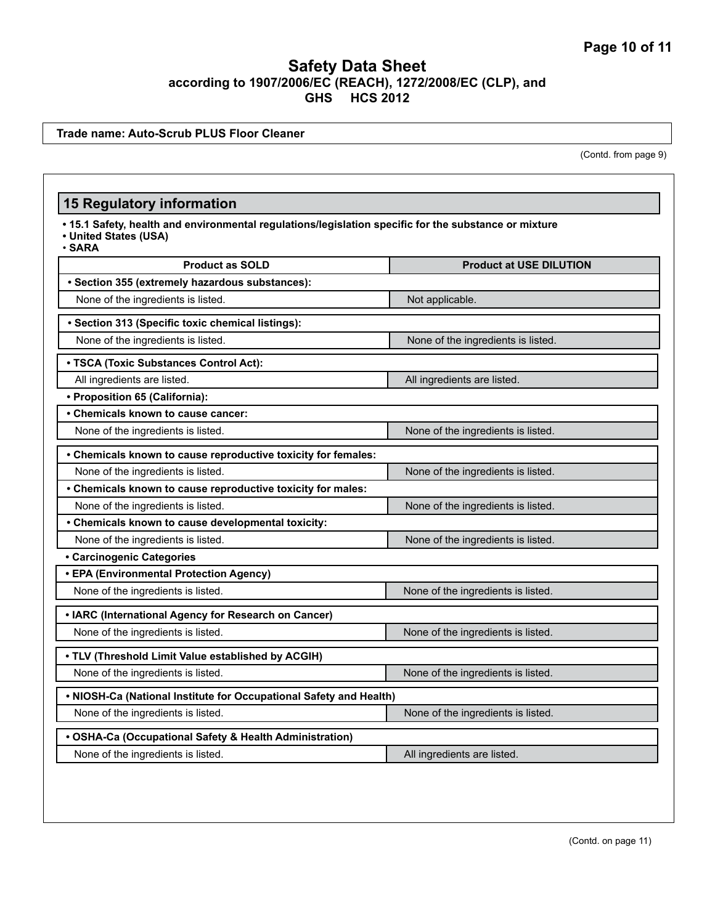**Trade name: Auto-Scrub PLUS Floor Cleaner**

(Contd. from page 9)

# **15 Regulatory information**

**• 15.1 Safety, health and environmental regulations/legislation specific for the substance or mixture**

**• United States (USA)**

| <b>Product as SOLD</b>                                             | <b>Product at USE DILUTION</b>     |  |
|--------------------------------------------------------------------|------------------------------------|--|
| · Section 355 (extremely hazardous substances):                    |                                    |  |
| None of the ingredients is listed.                                 | Not applicable.                    |  |
| · Section 313 (Specific toxic chemical listings):                  |                                    |  |
| None of the ingredients is listed.                                 | None of the ingredients is listed. |  |
| • TSCA (Toxic Substances Control Act):                             |                                    |  |
| All ingredients are listed.                                        | All ingredients are listed.        |  |
| • Proposition 65 (California):                                     |                                    |  |
| • Chemicals known to cause cancer:                                 |                                    |  |
| None of the ingredients is listed.                                 | None of the ingredients is listed. |  |
| • Chemicals known to cause reproductive toxicity for females:      |                                    |  |
| None of the ingredients is listed.                                 | None of the ingredients is listed. |  |
| • Chemicals known to cause reproductive toxicity for males:        |                                    |  |
| None of the ingredients is listed.                                 | None of the ingredients is listed. |  |
| • Chemicals known to cause developmental toxicity:                 |                                    |  |
| None of the ingredients is listed.                                 | None of the ingredients is listed. |  |
| <b>• Carcinogenic Categories</b>                                   |                                    |  |
| • EPA (Environmental Protection Agency)                            |                                    |  |
| None of the ingredients is listed.                                 | None of the ingredients is listed. |  |
| • IARC (International Agency for Research on Cancer)               |                                    |  |
| None of the ingredients is listed.                                 | None of the ingredients is listed. |  |
| • TLV (Threshold Limit Value established by ACGIH)                 |                                    |  |
| None of the ingredients is listed.                                 | None of the ingredients is listed. |  |
| . NIOSH-Ca (National Institute for Occupational Safety and Health) |                                    |  |
| None of the ingredients is listed.                                 | None of the ingredients is listed. |  |
| • OSHA-Ca (Occupational Safety & Health Administration)            |                                    |  |
| None of the ingredients is listed.                                 | All ingredients are listed.        |  |